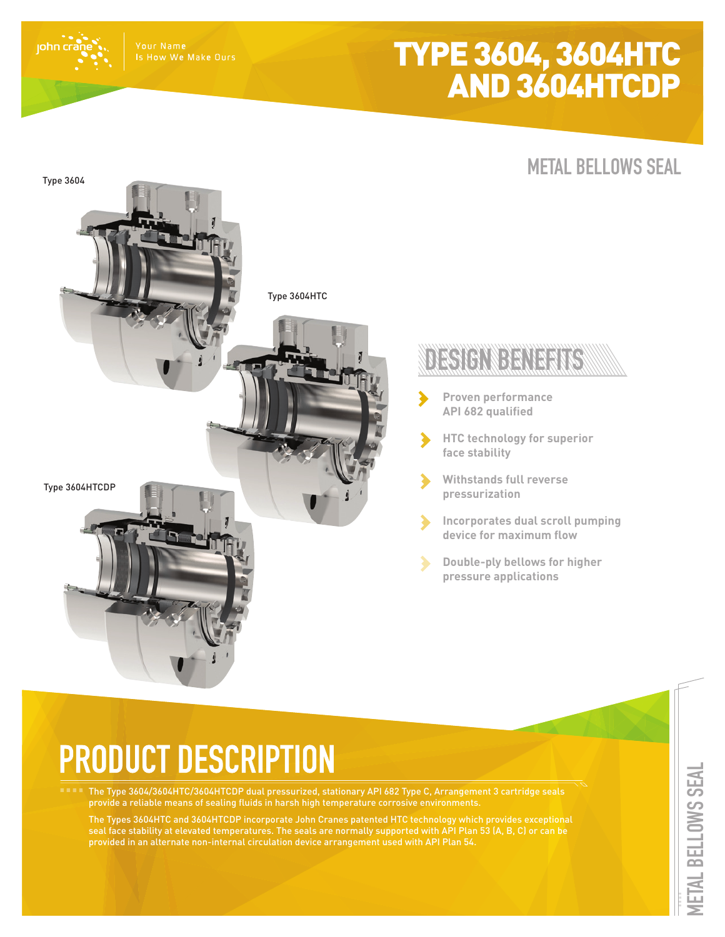## TYPE 3604, 3604HTC AND 3604HTCDP

### Is How We Make Ours

john cr

**METAL BELLOWS SEAL**



# **PRODUCT DESCRIPTION**

The Type 3604/3604HTC/3604HTCDP dual pressurized, stationary API 682 Type C, Arrangement 3 cartridge seals provide a reliable means of sealing fluids in harsh high temperature corrosive environments.

The Types 3604HTC and 3604HTCDP incorporate John Cranes patented HTC technology which provides exceptional seal face stability at elevated temperatures. The seals are normally supported with API Plan 53 (A, B, C) or can be provided in an alternate non-internal circulation device arrangement used with API Plan 54.